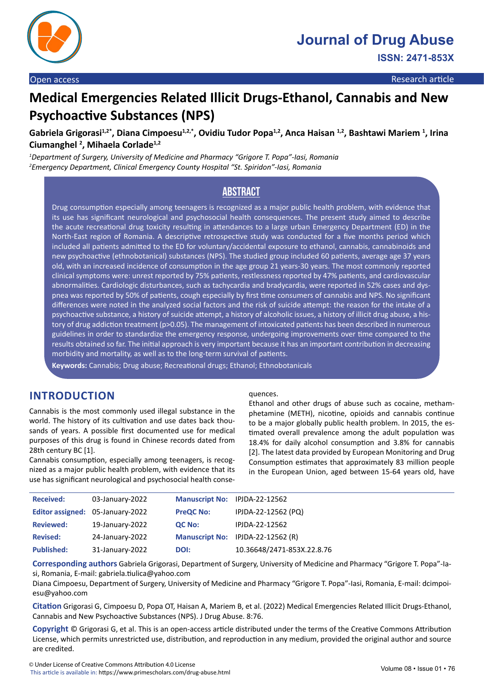

# **Medical Emergencies Related Illicit Drugs-Ethanol, Cannabis and New Psychoactive Substances (NPS)**

Gabriela Grigorasi<sup>1,2\*</sup>, Diana Cimpoesu<sup>1,2,\*</sup>, Ovidiu Tudor Popa<sup>1,2</sup>, Anca Haisan <sup>1,2</sup>, Bashtawi Mariem <sup>1</sup>, Irina **Ciumanghel 2 , Mihaela Corlade1,2**

*1 Department of Surgery, University of Medicine and Pharmacy "Grigore T. Popa"-Iasi, Romania 2 Emergency Department, Clinical Emergency County Hospital "St. Spiridon"-Iasi, Romania*

# **Abstract**

Drug consumption especially among teenagers is recognized as a major public health problem, with evidence that its use has significant neurological and psychosocial health consequences. The present study aimed to describe the acute recreational drug toxicity resulting in attendances to a large urban Emergency Department (ED) in the North-East region of Romania. A descriptive retrospective study was conducted for a five months period which included all patients admitted to the ED for voluntary/accidental exposure to ethanol, cannabis, cannabinoids and new psychoactive (ethnobotanical) substances (NPS). The studied group included 60 patients, average age 37 years old, with an increased incidence of consumption in the age group 21 years-30 years. The most commonly reported clinical symptoms were: unrest reported by 75% patients, restlessness reported by 47% patients, and cardiovascular abnormalities. Cardiologic disturbances, such as tachycardia and bradycardia, were reported in 52% cases and dyspnea was reported by 50% of patients, cough especially by first time consumers of cannabis and NPS. No significant differences were noted in the analyzed social factors and the risk of suicide attempt: the reason for the intake of a psychoactive substance, a history of suicide attempt, a history of alcoholic issues, a history of illicit drug abuse, a history of drug addiction treatment (p>0.05). The management of intoxicated patients has been described in numerous guidelines in order to standardize the emergency response, undergoing improvements over time compared to the results obtained so far. The initial approach is very important because it has an important contribution in decreasing morbidity and mortality, as well as to the long-term survival of patients.

**Keywords:** Cannabis; Drug abuse; Recreational drugs; Ethanol; Ethnobotanicals

# **INTRODUCTION**

Cannabis is the most commonly used illegal substance in the world. The history of its cultivation and use dates back thousands of years. A possible first documented use for medical purposes of this drug is found in Chinese records dated from 28th century BC [1].

Cannabis consumption, especially among teenagers, is recognized as a major public health problem, with evidence that its use has significant neurological and psychosocial health conse-

#### quences.

Ethanol and other drugs of abuse such as cocaine, methamphetamine (METH), nicotine, opioids and cannabis continue to be a major globally public health problem. In 2015, the estimated overall prevalence among the adult population was 18.4% for daily alcohol consumption and 3.8% for cannabis [2]. The latest data provided by European Monitoring and Drug Consumption estimates that approximately 83 million people in the European Union, aged between 15-64 years old, have

| <b>Received:</b>  | 03-January-2022                  | Manuscript No: IPJDA-22-12562 |                                   |
|-------------------|----------------------------------|-------------------------------|-----------------------------------|
|                   | Editor assigned: 05-January-2022 | <b>PreQC No:</b>              | IPJDA-22-12562 (PQ)               |
| <b>Reviewed:</b>  | 19-January-2022                  | QC No:                        | IPJDA-22-12562                    |
| <b>Revised:</b>   | 24-January-2022                  |                               | Manuscript No: IPJDA-22-12562 (R) |
| <b>Published:</b> | 31-January-2022                  | DOI:                          | 10.36648/2471-853X.22.8.76        |

**Corresponding authors** Gabriela Grigorasi, Department of Surgery, University of Medicine and Pharmacy "Grigore T. Popa"-Iasi, Romania, E-mail: gabriela.tiulica@yahoo.com

Diana Cimpoesu, Department of Surgery, University of Medicine and Pharmacy "Grigore T. Popa"-Iasi, Romania, E-mail: dcimpoiesu@yahoo.com

**Citation** Grigorasi G, Cimpoesu D, Popa OT, Haisan A, Mariem B, et al. (2022) Medical Emergencies Related Illicit Drugs-Ethanol, Cannabis and New Psychoactive Substances (NPS). J Drug Abuse. 8:76.

**Copyright** © Grigorasi G, et al. This is an open-access article distributed under the terms of the Creative Commons Attribution License, which permits unrestricted use, distribution, and reproduction in any medium, provided the original author and source are credited.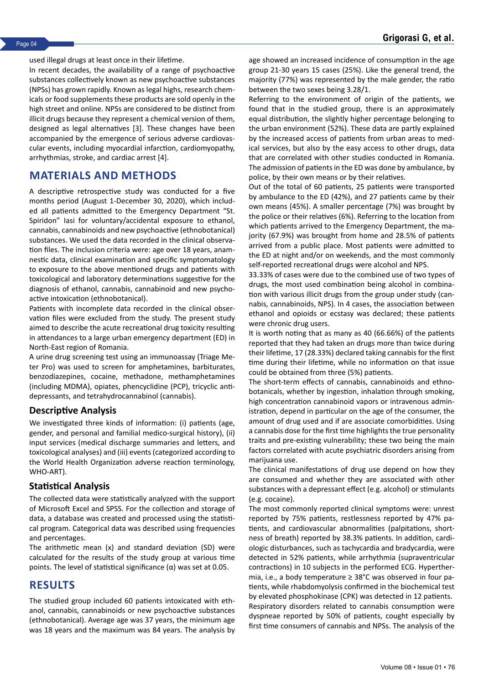used illegal drugs at least once in their lifetime.

In recent decades, the availability of a range of psychoactive substances collectively known as new psychoactive substances (NPSs) has grown rapidly. Known as legal highs, research chemicals or food supplements these products are sold openly in the high street and online. NPSs are considered to be distinct from illicit drugs because they represent a chemical version of them, designed as legal alternatives [3]. These changes have been accompanied by the emergence of serious adverse cardiovascular events, including myocardial infarction, cardiomyopathy, arrhythmias, stroke, and cardiac arrest [4].

### **MATERIALS AND METHODS**

A descriptive retrospective study was conducted for a five months period (August 1-December 30, 2020), which included all patients admitted to the Emergency Department "St. Spiridon" Iasi for voluntary/accidental exposure to ethanol, cannabis, cannabinoids and new psychoactive (ethnobotanical) substances. We used the data recorded in the clinical observation files. The inclusion criteria were: age over 18 years, anamnestic data, clinical examination and specific symptomatology to exposure to the above mentioned drugs and patients with toxicological and laboratory determinations suggestive for the diagnosis of ethanol, cannabis, cannabinoid and new psychoactive intoxication (ethnobotanical).

Patients with incomplete data recorded in the clinical observation files were excluded from the study. The present study aimed to describe the acute recreational drug toxicity resulting in attendances to a large urban emergency department (ED) in North-East region of Romania.

A urine drug screening test using an immunoassay (Triage Meter Pro) was used to screen for amphetamines, barbiturates, benzodiazepines, cocaine, methadone, methamphetamines (including MDMA), opiates, phencyclidine (PCP), tricyclic antidepressants, and tetrahydrocannabinol (cannabis).

#### **Descriptive Analysis**

We investigated three kinds of information: (i) patients (age, gender, and personal and familial medico-surgical history), (ii) input services (medical discharge summaries and letters, and toxicological analyses) and (iii) events (categorized according to the World Health Organization adverse reaction terminology, WHO-ART).

#### **Statistical Analysis**

The collected data were statistically analyzed with the support of Microsoft Excel and SPSS. For the collection and storage of data, a database was created and processed using the statistical program. Categorical data was described using frequencies and percentages.

The arithmetic mean (x) and standard deviation (SD) were calculated for the results of the study group at various time points. The level of statistical significance  $(α)$  was set at 0.05.

### **RESULTS**

The studied group included 60 patients intoxicated with ethanol, cannabis, cannabinoids or new psychoactive substances (ethnobotanical). Average age was 37 years, the minimum age was 18 years and the maximum was 84 years. The analysis by age showed an increased incidence of consumption in the age group 21-30 years 15 cases (25%). Like the general trend, the majority (77%) was represented by the male gender, the ratio between the two sexes being 3.28/1.

Referring to the environment of origin of the patients, we found that in the studied group, there is an approximately equal distribution, the slightly higher percentage belonging to the urban environment (52%). These data are partly explained by the increased access of patients from urban areas to medical services, but also by the easy access to other drugs, data that are correlated with other studies conducted in Romania. The admission of patients in the ED was done by ambulance, by police, by their own means or by their relatives.

Out of the total of 60 patients, 25 patients were transported by ambulance to the ED (42%), and 27 patients came by their own means (45%). A smaller percentage (7%) was brought by the police or their relatives (6%). Referring to the location from which patients arrived to the Emergency Department, the majority (67.9%) was brought from home and 28.5% of patients arrived from a public place. Most patients were admitted to the ED at night and/or on weekends, and the most commonly self-reported recreational drugs were alcohol and NPS.

33.33% of cases were due to the combined use of two types of drugs, the most used combination being alcohol in combination with various illicit drugs from the group under study (cannabis, cannabinoids, NPS). In 4 cases, the association between ethanol and opioids or ecstasy was declared; these patients were chronic drug users.

It is worth noting that as many as 40 (66.66%) of the patients reported that they had taken an drugs more than twice during their lifetime, 17 (28.33%) declared taking cannabis for the first time during their lifetime, while no information on that issue could be obtained from three (5%) patients.

The short-term effects of cannabis, cannabinoids and ethnobotanicals, whether by ingestion, inhalation through smoking, high concentration cannabinoid vapors or intravenous administration, depend in particular on the age of the consumer, the amount of drug used and if are associate comorbidities. Using a cannabis dose for the first time highlights the true personality traits and pre-existing vulnerability; these two being the main factors correlated with acute psychiatric disorders arising from marijuana use.

The clinical manifestations of drug use depend on how they are consumed and whether they are associated with other substances with a depressant effect (e.g. alcohol) or stimulants (e.g. cocaine).

The most commonly reported clinical symptoms were: unrest reported by 75% patients, restlessness reported by 47% patients, and cardiovascular abnormalities (palpitations, shortness of breath) reported by 38.3% patients. In addition, cardiologic disturbances, such as tachycardia and bradycardia, were detected in 52% patients, while arrhythmia (supraventricular contractions) in 10 subjects in the performed ECG. Hyperthermia, i.e., a body temperature ≥ 38°C was observed in four patients, while rhabdomyolysis confirmed in the biochemical test by elevated phosphokinase (CPK) was detected in 12 patients. Respiratory disorders related to cannabis consumption were dyspneae reported by 50% of patients, cought especially by first time consumers of cannabis and NPSs. The analysis of the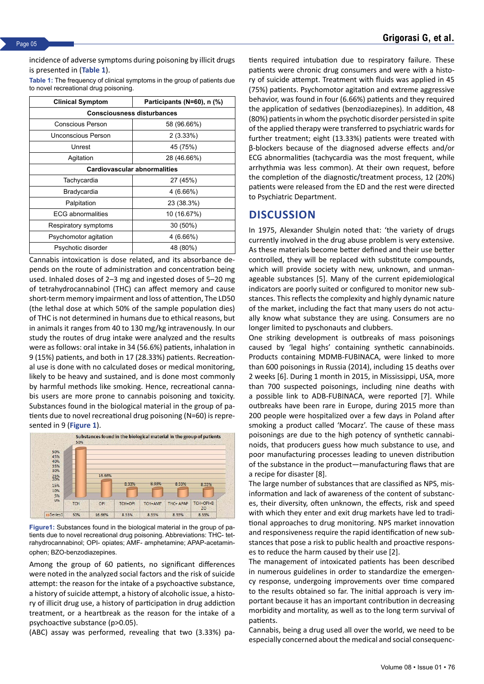incidence of adverse symptoms during poisoning by illicit drugs is presented in (**Table 1**).

**Table 1:** The frequency of clinical symptoms in the group of patients due to novel recreational drug poisoning.

| <b>Clinical Symptom</b>             | Participants (N=60), n (%) |  |  |  |
|-------------------------------------|----------------------------|--|--|--|
| <b>Consciousness disturbances</b>   |                            |  |  |  |
| Conscious Person                    | 58 (96.66%)                |  |  |  |
| Unconscious Person                  | 2(3.33%)                   |  |  |  |
| Unrest                              | 45 (75%)                   |  |  |  |
| Agitation                           | 28 (46.66%)                |  |  |  |
| <b>Cardiovascular abnormalities</b> |                            |  |  |  |
| Tachycardia                         | 27 (45%)                   |  |  |  |
| Bradycardia                         | $4(6.66\%)$                |  |  |  |
| Palpitation                         | 23 (38.3%)                 |  |  |  |
| <b>ECG</b> abnormalities            | 10 (16.67%)                |  |  |  |
| Respiratory symptoms                | 30 (50%)                   |  |  |  |
| Psychomotor agitation               | $4(6.66\%)$                |  |  |  |
| Psychotic disorder                  | 48 (80%)                   |  |  |  |

Cannabis intoxication is dose related, and its absorbance depends on the route of administration and concentration being used. Inhaled doses of 2–3 mg and ingested doses of 5–20 mg of tetrahydrocannabinol (THC) can affect memory and cause short-term memory impairment and loss of attention, The LD50 (the lethal dose at which 50% of the sample population dies) of THC is not determined in humans due to ethical reasons, but in animals it ranges from 40 to 130 mg/kg intravenously. In our study the routes of drug intake were analyzed and the results were as follows: oral intake in 34 (56.6%) patients, inhalation in 9 (15%) patients, and both in 17 (28.33%) patients. Recreational use is done with no calculated doses or medical monitoring, likely to be heavy and sustained, and is done most commonly by harmful methods like smoking. Hence, recreational cannabis users are more prone to cannabis poisoning and toxicity. Substances found in the biological material in the group of patients due to novel recreational drug poisoning (N=60) is represented in 9 (**Figure 1**).



**Figure1:** Substances found in the biological material in the group of patients due to novel recreational drug poisoning. Abbreviations: THC- tetrahydrocannabinol; OPI- opiates; AMF- amphetamine; APAP-acetaminophen; BZO-benzodiazepines.

Among the group of 60 patients, no significant differences were noted in the analyzed social factors and the risk of suicide attempt: the reason for the intake of a psychoactive substance, a history of suicide attempt, a history of alcoholic issue, a history of illicit drug use, a history of participation in drug addiction treatment, or a heartbreak as the reason for the intake of a psychoactive substance (p>0.05).

(ABC) assay was performed, revealing that two (3.33%) pa-

tients required intubation due to respiratory failure. These patients were chronic drug consumers and were with a history of suicide attempt. Treatment with fluids was applied in 45 (75%) patients. Psychomotor agitation and extreme aggressive behavior, was found in four (6.66%) patients and they required the application of sedatives (benzodiazepines). In addition, 48 (80%) patients in whom the psychotic disorder persisted in spite of the applied therapy were transferred to psychiatric wards for further treatment; eight (13.33%) patients were treated with β-blockers because of the diagnosed adverse effects and/or ECG abnormalities (tachycardia was the most frequent, while arrhythmia was less common). At their own request, before the completion of the diagnostic/treatment process, 12 (20%) patients were released from the ED and the rest were directed to Psychiatric Department.

## **DISCUSSION**

In 1975, Alexander Shulgin noted that: 'the variety of drugs currently involved in the drug abuse problem is very extensive. As these materials become better defined and their use better controlled, they will be replaced with substitute compounds, which will provide society with new, unknown, and unmanageable substances [5]. Many of the current epidemiological indicators are poorly suited or configured to monitor new substances. This reflects the complexity and highly dynamic nature of the market, including the fact that many users do not actually know what substance they are using. Consumers are no longer limited to pyschonauts and clubbers.

One striking development is outbreaks of mass poisonings caused by 'legal highs' containing synthetic cannabinoids. Products containing MDMB-FUBINACA, were linked to more than 600 poisonings in Russia (2014), including 15 deaths over 2 weeks [6]. During 1 month in 2015, in Mississippi, USA, more than 700 suspected poisonings, including nine deaths with a possible link to ADB-FUBINACA, were reported [7]. While outbreaks have been rare in Europe, during 2015 more than 200 people were hospitalized over a few days in Poland after smoking a product called 'Mocarz'. The cause of these mass poisonings are due to the high potency of synthetic cannabinoids, that producers guess how much substance to use, and poor manufacturing processes leading to uneven distribution of the substance in the product—manufacturing flaws that are a recipe for disaster [8].

The large number of substances that are classified as NPS, misinformation and lack of awareness of the content of substances, their diversity, often unknown, the effects, risk and speed with which they enter and exit drug markets have led to traditional approaches to drug monitoring. NPS market innovation and responsiveness require the rapid identification of new substances that pose a risk to public health and proactive responses to reduce the harm caused by their use [2].

The management of intoxicated patients has been described in numerous guidelines in order to standardize the emergency response, undergoing improvements over time compared to the results obtained so far. The initial approach is very important because it has an important contribution in decreasing morbidity and mortality, as well as to the long term survival of patients.

Cannabis, being a drug used all over the world, we need to be especially concerned about the medical and social consequenc